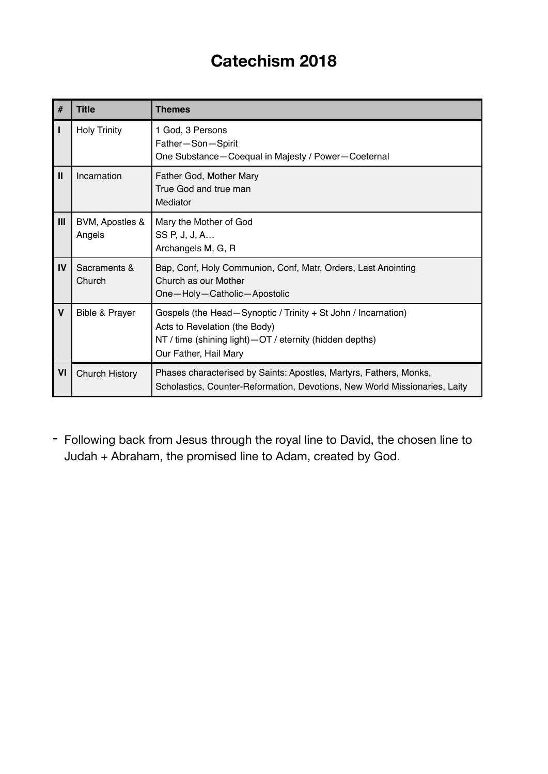## **Catechism 2018**

| #            | Title                     | <b>Themes</b>                                                                                                                                                                        |  |
|--------------|---------------------------|--------------------------------------------------------------------------------------------------------------------------------------------------------------------------------------|--|
| п            | <b>Holy Trinity</b>       | 1 God, 3 Persons<br>Father-Son-Spirit<br>One Substance-Coequal in Majesty / Power-Coeternal                                                                                          |  |
| $\mathbf{I}$ | Incarnation               | Father God, Mother Mary<br>True God and true man<br>Mediator                                                                                                                         |  |
| Ш            | BVM, Apostles &<br>Angels | Mary the Mother of God<br>SS P, J, J, A<br>Archangels M, G, R                                                                                                                        |  |
| IV           | Sacraments &<br>Church    | Bap, Conf, Holy Communion, Conf, Matr, Orders, Last Anointing<br>Church as our Mother<br>One-Holy-Catholic-Apostolic                                                                 |  |
| $\mathsf{V}$ | <b>Bible &amp; Prayer</b> | Gospels (the Head-Synoptic / Trinity + St John / Incarnation)<br>Acts to Revelation (the Body)<br>NT / time (shining light) - OT / eternity (hidden depths)<br>Our Father, Hail Mary |  |
| VI           | Church History            | Phases characterised by Saints: Apostles, Martyrs, Fathers, Monks,<br>Scholastics, Counter-Reformation, Devotions, New World Missionaries, Laity                                     |  |

- Following back from Jesus through the royal line to David, the chosen line to Judah + Abraham, the promised line to Adam, created by God.